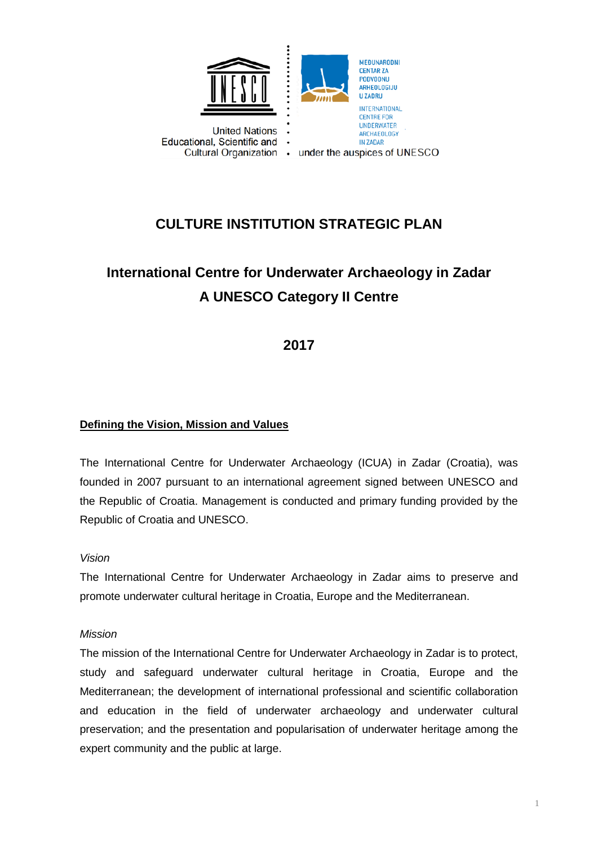

## **CULTURE INSTITUTION STRATEGIC PLAN**

# **International Centre for Underwater Archaeology in Zadar A UNESCO Category II Centre**

### **2017**

### **Defining the Vision, Mission and Values**

The International Centre for Underwater Archaeology (ICUA) in Zadar (Croatia), was founded in 2007 pursuant to an international agreement signed between UNESCO and the Republic of Croatia. Management is conducted and primary funding provided by the Republic of Croatia and UNESCO.

### *Vision*

The International Centre for Underwater Archaeology in Zadar aims to preserve and promote underwater cultural heritage in Croatia, Europe and the Mediterranean.

### *Mission*

The mission of the International Centre for Underwater Archaeology in Zadar is to protect, study and safeguard underwater cultural heritage in Croatia, Europe and the Mediterranean; the development of international professional and scientific collaboration and education in the field of underwater archaeology and underwater cultural preservation; and the presentation and popularisation of underwater heritage among the expert community and the public at large.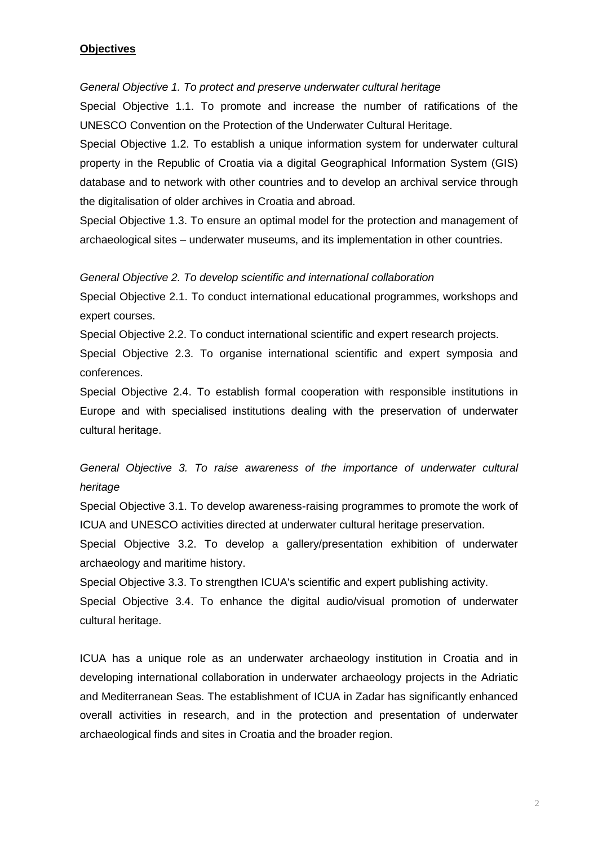### **Objectives**

*General Objective 1. To protect and preserve underwater cultural heritage*

Special Objective 1.1. To promote and increase the number of ratifications of the UNESCO Convention on the Protection of the Underwater Cultural Heritage.

Special Objective 1.2. To establish a unique information system for underwater cultural property in the Republic of Croatia via a digital Geographical Information System (GIS) database and to network with other countries and to develop an archival service through the digitalisation of older archives in Croatia and abroad.

Special Objective 1.3. To ensure an optimal model for the protection and management of archaeological sites – underwater museums, and its implementation in other countries.

#### *General Objective 2. To develop scientific and international collaboration*

Special Objective 2.1. To conduct international educational programmes, workshops and expert courses.

Special Objective 2.2. To conduct international scientific and expert research projects.

Special Objective 2.3. To organise international scientific and expert symposia and conferences.

Special Objective 2.4. To establish formal cooperation with responsible institutions in Europe and with specialised institutions dealing with the preservation of underwater cultural heritage.

### *General Objective 3. To raise awareness of the importance of underwater cultural heritage*

Special Objective 3.1. To develop awareness-raising programmes to promote the work of ICUA and UNESCO activities directed at underwater cultural heritage preservation.

Special Objective 3.2. To develop a gallery/presentation exhibition of underwater archaeology and maritime history.

Special Objective 3.3. To strengthen ICUA's scientific and expert publishing activity.

Special Objective 3.4. To enhance the digital audio/visual promotion of underwater cultural heritage.

ICUA has a unique role as an underwater archaeology institution in Croatia and in developing international collaboration in underwater archaeology projects in the Adriatic and Mediterranean Seas. The establishment of ICUA in Zadar has significantly enhanced overall activities in research, and in the protection and presentation of underwater archaeological finds and sites in Croatia and the broader region.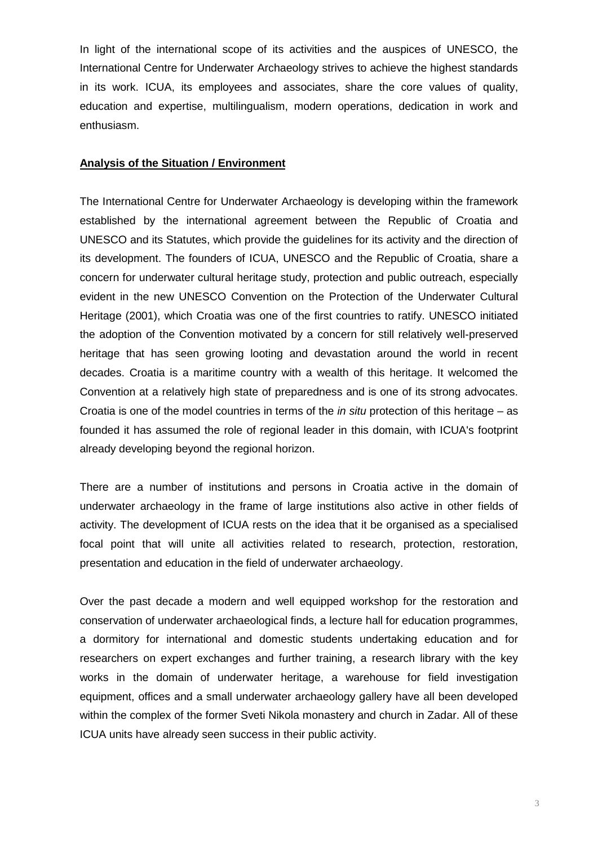In light of the international scope of its activities and the auspices of UNESCO, the International Centre for Underwater Archaeology strives to achieve the highest standards in its work. ICUA, its employees and associates, share the core values of quality, education and expertise, multilingualism, modern operations, dedication in work and enthusiasm.

#### **Analysis of the Situation / Environment**

The International Centre for Underwater Archaeology is developing within the framework established by the international agreement between the Republic of Croatia and UNESCO and its Statutes, which provide the guidelines for its activity and the direction of its development. The founders of ICUA, UNESCO and the Republic of Croatia, share a concern for underwater cultural heritage study, protection and public outreach, especially evident in the new UNESCO Convention on the Protection of the Underwater Cultural Heritage (2001), which Croatia was one of the first countries to ratify. UNESCO initiated the adoption of the Convention motivated by a concern for still relatively well-preserved heritage that has seen growing looting and devastation around the world in recent decades. Croatia is a maritime country with a wealth of this heritage. It welcomed the Convention at a relatively high state of preparedness and is one of its strong advocates. Croatia is one of the model countries in terms of the *in situ* protection of this heritage – as founded it has assumed the role of regional leader in this domain, with ICUA's footprint already developing beyond the regional horizon.

There are a number of institutions and persons in Croatia active in the domain of underwater archaeology in the frame of large institutions also active in other fields of activity. The development of ICUA rests on the idea that it be organised as a specialised focal point that will unite all activities related to research, protection, restoration, presentation and education in the field of underwater archaeology.

Over the past decade a modern and well equipped workshop for the restoration and conservation of underwater archaeological finds, a lecture hall for education programmes, a dormitory for international and domestic students undertaking education and for researchers on expert exchanges and further training, a research library with the key works in the domain of underwater heritage, a warehouse for field investigation equipment, offices and a small underwater archaeology gallery have all been developed within the complex of the former Sveti Nikola monastery and church in Zadar. All of these ICUA units have already seen success in their public activity.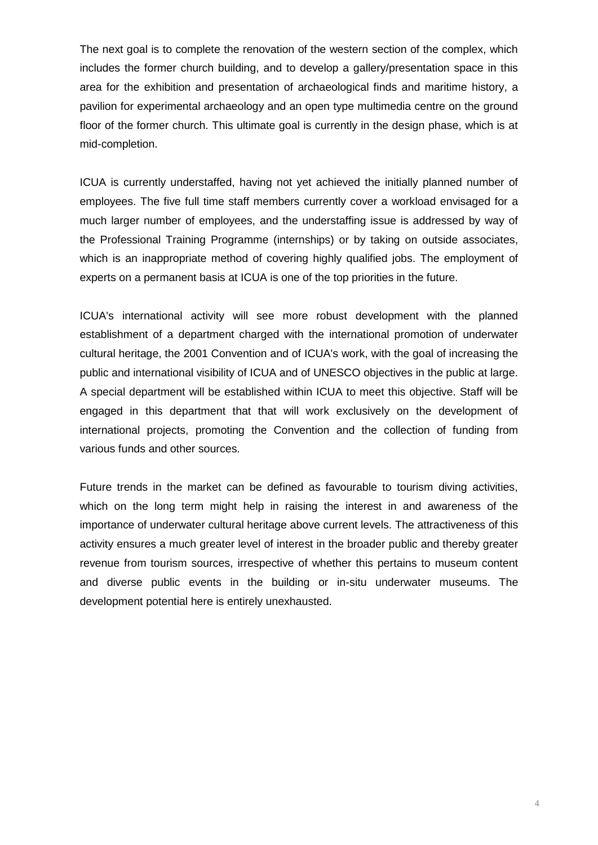The next goal is to complete the renovation of the western section of the complex, which includes the former church building, and to develop a gallery/presentation space in this area for the exhibition and presentation of archaeological finds and maritime history, a pavilion for experimental archaeology and an open type multimedia centre on the ground floor of the former church. This ultimate goal is currently in the design phase, which is at mid-completion.

ICUA is currently understaffed, having not yet achieved the initially planned number of employees. The five full time staff members currently cover a workload envisaged for a much larger number of employees, and the understaffing issue is addressed by way of the Professional Training Programme (internships) or by taking on outside associates, which is an inappropriate method of covering highly qualified jobs. The employment of experts on a permanent basis at ICUA is one of the top priorities in the future.

ICUA's international activity will see more robust development with the planned establishment of a department charged with the international promotion of underwater cultural heritage, the 2001 Convention and of ICUA's work, with the goal of increasing the public and international visibility of ICUA and of UNESCO objectives in the public at large. A special department will be established within ICUA to meet this objective. Staff will be engaged in this department that that will work exclusively on the development of international projects, promoting the Convention and the collection of funding from various funds and other sources.

Future trends in the market can be defined as favourable to tourism diving activities, which on the long term might help in raising the interest in and awareness of the importance of underwater cultural heritage above current levels. The attractiveness of this activity ensures a much greater level of interest in the broader public and thereby greater revenue from tourism sources, irrespective of whether this pertains to museum content and diverse public events in the building or in-situ underwater museums. The development potential here is entirely unexhausted.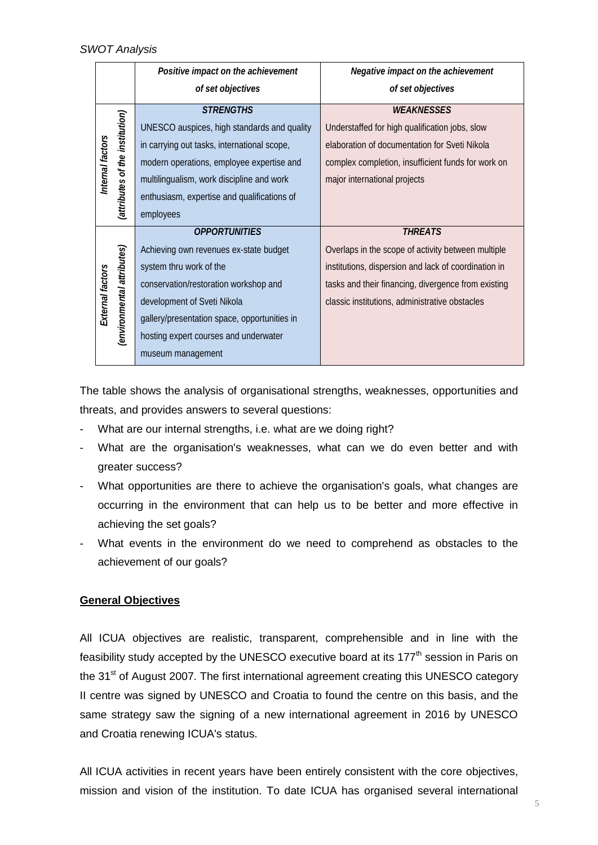|                  |                                 | Positive impact on the achievement           | Negative impact on the achievement                   |
|------------------|---------------------------------|----------------------------------------------|------------------------------------------------------|
|                  |                                 | of set objectives                            | of set objectives                                    |
| Internal factors | (attributes of the institution) | <b>STRENGTHS</b>                             | <b>WEAKNESSES</b>                                    |
|                  |                                 | UNESCO auspices, high standards and quality  | Understaffed for high qualification jobs, slow       |
|                  |                                 | in carrying out tasks, international scope,  | elaboration of documentation for Sveti Nikola        |
|                  |                                 | modern operations, employee expertise and    | complex completion, insufficient funds for work on   |
|                  |                                 | multilingualism, work discipline and work    | major international projects                         |
|                  |                                 | enthusiasm, expertise and qualifications of  |                                                      |
|                  |                                 | employees                                    |                                                      |
| External factors |                                 | <b>OPPORTUNITIES</b>                         | <b>THREATS</b>                                       |
|                  | (environmental attributes)      | Achieving own revenues ex-state budget       | Overlaps in the scope of activity between multiple   |
|                  |                                 | system thru work of the                      | institutions, dispersion and lack of coordination in |
|                  |                                 | conservation/restoration workshop and        | tasks and their financing, divergence from existing  |
|                  |                                 | development of Sveti Nikola                  | classic institutions, administrative obstacles       |
|                  |                                 | gallery/presentation space, opportunities in |                                                      |
|                  |                                 | hosting expert courses and underwater        |                                                      |
|                  |                                 | museum management                            |                                                      |

The table shows the analysis of organisational strengths, weaknesses, opportunities and threats, and provides answers to several questions:

- What are our internal strengths, i.e. what are we doing right?
- What are the organisation's weaknesses, what can we do even better and with greater success?
- What opportunities are there to achieve the organisation's goals, what changes are occurring in the environment that can help us to be better and more effective in achieving the set goals?
- What events in the environment do we need to comprehend as obstacles to the achievement of our goals?

### **General Objectives**

All ICUA objectives are realistic, transparent, comprehensible and in line with the feasibility study accepted by the UNESCO executive board at its 177<sup>th</sup> session in Paris on the 31<sup>st</sup> of August 2007. The first international agreement creating this UNESCO category II centre was signed by UNESCO and Croatia to found the centre on this basis, and the same strategy saw the signing of a new international agreement in 2016 by UNESCO and Croatia renewing ICUA's status.

All ICUA activities in recent years have been entirely consistent with the core objectives, mission and vision of the institution. To date ICUA has organised several international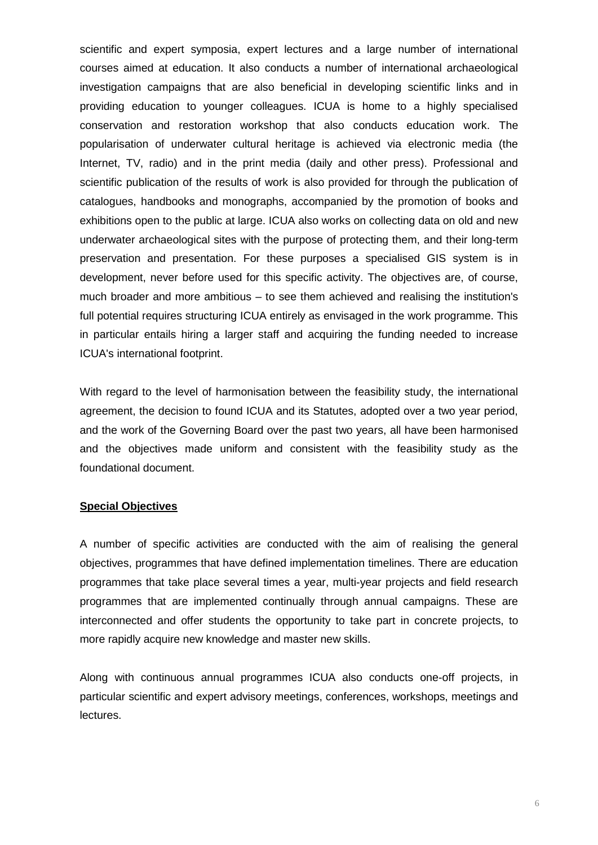scientific and expert symposia, expert lectures and a large number of international courses aimed at education. It also conducts a number of international archaeological investigation campaigns that are also beneficial in developing scientific links and in providing education to younger colleagues. ICUA is home to a highly specialised conservation and restoration workshop that also conducts education work. The popularisation of underwater cultural heritage is achieved via electronic media (the Internet, TV, radio) and in the print media (daily and other press). Professional and scientific publication of the results of work is also provided for through the publication of catalogues, handbooks and monographs, accompanied by the promotion of books and exhibitions open to the public at large. ICUA also works on collecting data on old and new underwater archaeological sites with the purpose of protecting them, and their long-term preservation and presentation. For these purposes a specialised GIS system is in development, never before used for this specific activity. The objectives are, of course, much broader and more ambitious – to see them achieved and realising the institution's full potential requires structuring ICUA entirely as envisaged in the work programme. This in particular entails hiring a larger staff and acquiring the funding needed to increase ICUA's international footprint.

With regard to the level of harmonisation between the feasibility study, the international agreement, the decision to found ICUA and its Statutes, adopted over a two year period, and the work of the Governing Board over the past two years, all have been harmonised and the objectives made uniform and consistent with the feasibility study as the foundational document.

### **Special Objectives**

A number of specific activities are conducted with the aim of realising the general objectives, programmes that have defined implementation timelines. There are education programmes that take place several times a year, multi-year projects and field research programmes that are implemented continually through annual campaigns. These are interconnected and offer students the opportunity to take part in concrete projects, to more rapidly acquire new knowledge and master new skills.

Along with continuous annual programmes ICUA also conducts one-off projects, in particular scientific and expert advisory meetings, conferences, workshops, meetings and lectures.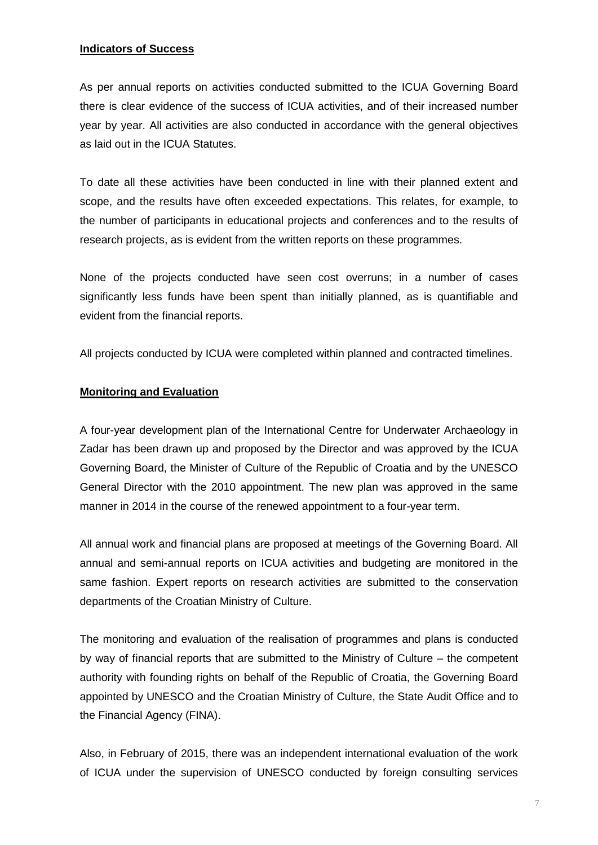### **Indicators of Success**

As per annual reports on activities conducted submitted to the ICUA Governing Board there is clear evidence of the success of ICUA activities, and of their increased number year by year. All activities are also conducted in accordance with the general objectives as laid out in the ICUA Statutes.

To date all these activities have been conducted in line with their planned extent and scope, and the results have often exceeded expectations. This relates, for example, to the number of participants in educational projects and conferences and to the results of research projects, as is evident from the written reports on these programmes.

None of the projects conducted have seen cost overruns; in a number of cases significantly less funds have been spent than initially planned, as is quantifiable and evident from the financial reports.

All projects conducted by ICUA were completed within planned and contracted timelines.

#### **Monitoring and Evaluation**

A four-year development plan of the International Centre for Underwater Archaeology in Zadar has been drawn up and proposed by the Director and was approved by the ICUA Governing Board, the Minister of Culture of the Republic of Croatia and by the UNESCO General Director with the 2010 appointment. The new plan was approved in the same manner in 2014 in the course of the renewed appointment to a four-year term.

All annual work and financial plans are proposed at meetings of the Governing Board. All annual and semi-annual reports on ICUA activities and budgeting are monitored in the same fashion. Expert reports on research activities are submitted to the conservation departments of the Croatian Ministry of Culture.

The monitoring and evaluation of the realisation of programmes and plans is conducted by way of financial reports that are submitted to the Ministry of Culture – the competent authority with founding rights on behalf of the Republic of Croatia, the Governing Board appointed by UNESCO and the Croatian Ministry of Culture, the State Audit Office and to the Financial Agency (FINA).

Also, in February of 2015, there was an independent international evaluation of the work of ICUA under the supervision of UNESCO conducted by foreign consulting services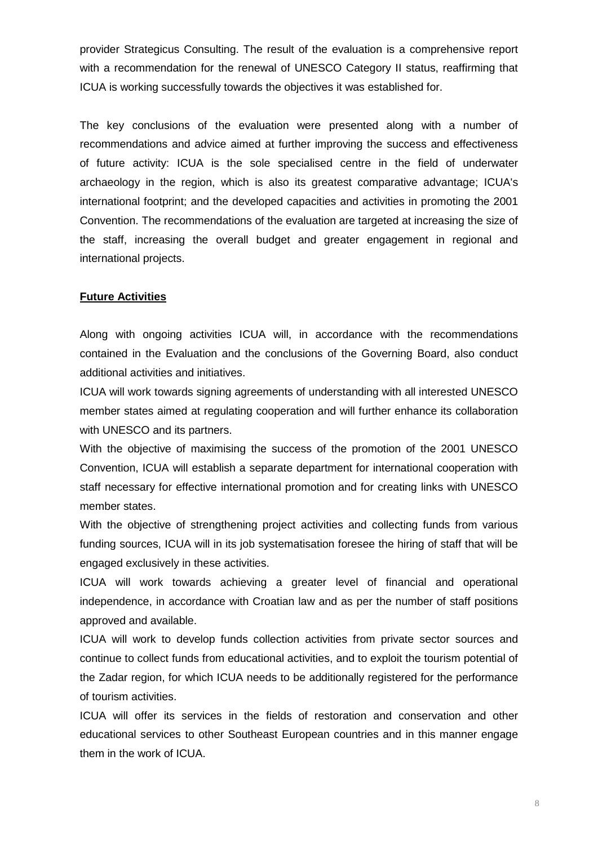provider Strategicus Consulting. The result of the evaluation is a comprehensive report with a recommendation for the renewal of UNESCO Category II status, reaffirming that ICUA is working successfully towards the objectives it was established for.

The key conclusions of the evaluation were presented along with a number of recommendations and advice aimed at further improving the success and effectiveness of future activity: ICUA is the sole specialised centre in the field of underwater archaeology in the region, which is also its greatest comparative advantage; ICUA's international footprint; and the developed capacities and activities in promoting the 2001 Convention. The recommendations of the evaluation are targeted at increasing the size of the staff, increasing the overall budget and greater engagement in regional and international projects.

### **Future Activities**

Along with ongoing activities ICUA will, in accordance with the recommendations contained in the Evaluation and the conclusions of the Governing Board, also conduct additional activities and initiatives.

ICUA will work towards signing agreements of understanding with all interested UNESCO member states aimed at regulating cooperation and will further enhance its collaboration with UNESCO and its partners.

With the objective of maximising the success of the promotion of the 2001 UNESCO Convention, ICUA will establish a separate department for international cooperation with staff necessary for effective international promotion and for creating links with UNESCO member states.

With the objective of strengthening project activities and collecting funds from various funding sources, ICUA will in its job systematisation foresee the hiring of staff that will be engaged exclusively in these activities.

ICUA will work towards achieving a greater level of financial and operational independence, in accordance with Croatian law and as per the number of staff positions approved and available.

ICUA will work to develop funds collection activities from private sector sources and continue to collect funds from educational activities, and to exploit the tourism potential of the Zadar region, for which ICUA needs to be additionally registered for the performance of tourism activities.

ICUA will offer its services in the fields of restoration and conservation and other educational services to other Southeast European countries and in this manner engage them in the work of ICUA.